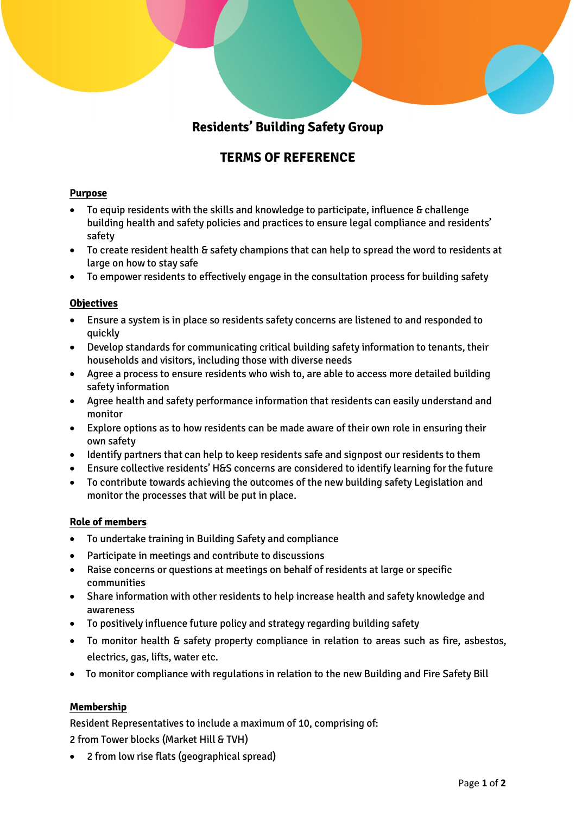# **Residents' Building Safety Group**

## **TERMS OF REFERENCE**

## **Purpose**

- To equip residents with the skills and knowledge to participate, influence & challenge building health and safety policies and practices to ensure legal compliance and residents' safety
- To create resident health & safety champions that can help to spread the word to residents at large on how to stay safe
- To empower residents to effectively engage in the consultation process for building safety

## **Objectives**

- Ensure a system is in place so residents safety concerns are listened to and responded to quickly
- Develop standards for communicating critical building safety information to tenants, their households and visitors, including those with diverse needs
- Agree a process to ensure residents who wish to, are able to access more detailed building safety information
- Agree health and safety performance information that residents can easily understand and monitor
- Explore options as to how residents can be made aware of their own role in ensuring their own safety
- Identify partners that can help to keep residents safe and signpost our residents to them
- Ensure collective residents' H&S concerns are considered to identify learning for the future
- To contribute towards achieving the outcomes of the new building safety Legislation and monitor the processes that will be put in place.

## **Role of members**

- To undertake training in Building Safety and compliance
- Participate in meetings and contribute to discussions
- Raise concerns or questions at meetings on behalf of residents at large or specific communities
- Share information with other residents to help increase health and safety knowledge and awareness
- To positively influence future policy and strategy regarding building safety
- To monitor health & safety property compliance in relation to areas such as fire, asbestos, electrics, gas, lifts, water etc.
- To monitor compliance with regulations in relation to the new Building and Fire Safety Bill

## **Membership**

Resident Representatives to include a maximum of 10, comprising of: 2 from Tower blocks (Market Hill & TVH)

• 2 from low rise flats (geographical spread)